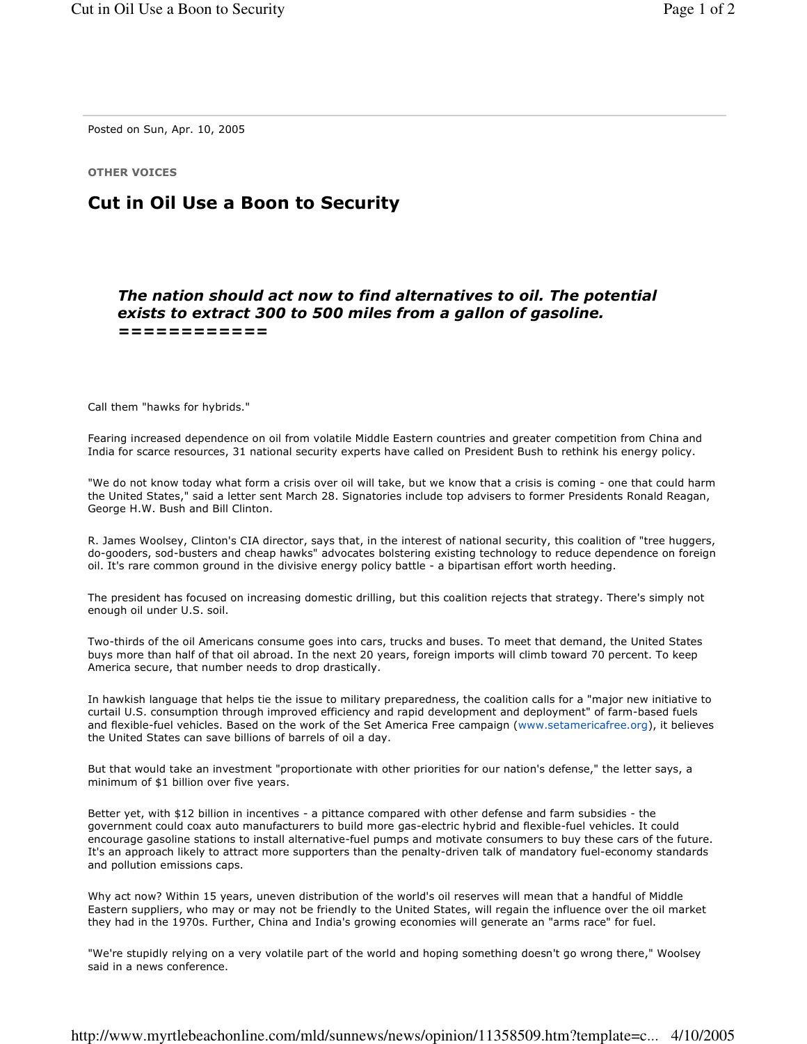Posted on Sun, Apr. 10, 2005

**OTHER VOICES** 

## **Cut in Oil Use a Boon to Security**

## The nation should act now to find alternatives to oil. The potential exists to extract 300 to 500 miles from a gallon of gasoline. ============

Call them "hawks for hybrids."

Fearing increased dependence on oil from volatile Middle Eastern countries and greater competition from China and India for scarce resources, 31 national security experts have called on President Bush to rethink his energy policy.

"We do not know today what form a crisis over oil will take, but we know that a crisis is coming - one that could harm the United States," said a letter sent March 28. Signatories include top advisers to former Presidents Ronald Reagan, George H.W. Bush and Bill Clinton.

R. James Woolsey, Clinton's CIA director, says that, in the interest of national security, this coalition of "tree huggers, do-gooders, sod-busters and cheap hawks" advocates bolstering existing technology to reduce dependence on foreign oil. It's rare common ground in the divisive energy policy battle - a bipartisan effort worth heeding.

The president has focused on increasing domestic drilling, but this coalition rejects that strategy. There's simply not enough oil under U.S. soil.

Two-thirds of the oil Americans consume goes into cars, trucks and buses. To meet that demand, the United States buys more than half of that oil abroad. In the next 20 years, foreign imports will climb toward 70 percent. To keep America secure, that number needs to drop drastically.

In hawkish language that helps tie the issue to military preparedness, the coalition calls for a "major new initiative to curtail U.S. consumption through improved efficiency and rapid development and deployment" of farm-based fuels and flexible-fuel vehicles. Based on the work of the Set America Free campaign (www.setamericafree.org), it believes the United States can save billions of barrels of oil a day.

But that would take an investment "proportionate with other priorities for our nation's defense," the letter says, a minimum of \$1 billion over five years.

Better yet, with \$12 billion in incentives - a pittance compared with other defense and farm subsidies - the government could coax auto manufacturers to build more gas-electric hybrid and flexible-fuel vehicles. It could encourage gasoline stations to install alternative-fuel pumps and motivate consumers to buy these cars of the future. It's an approach likely to attract more supporters than the penalty-driven talk of mandatory fuel-economy standards and pollution emissions caps.

Why act now? Within 15 years, uneven distribution of the world's oil reserves will mean that a handful of Middle Eastern suppliers, who may or may not be friendly to the United States, will regain the influence over the oil market they had in the 1970s. Further, China and India's growing economies will generate an "arms race" for fuel.

"We're stupidly relying on a very volatile part of the world and hoping something doesn't go wrong there," Woolsey said in a news conference.